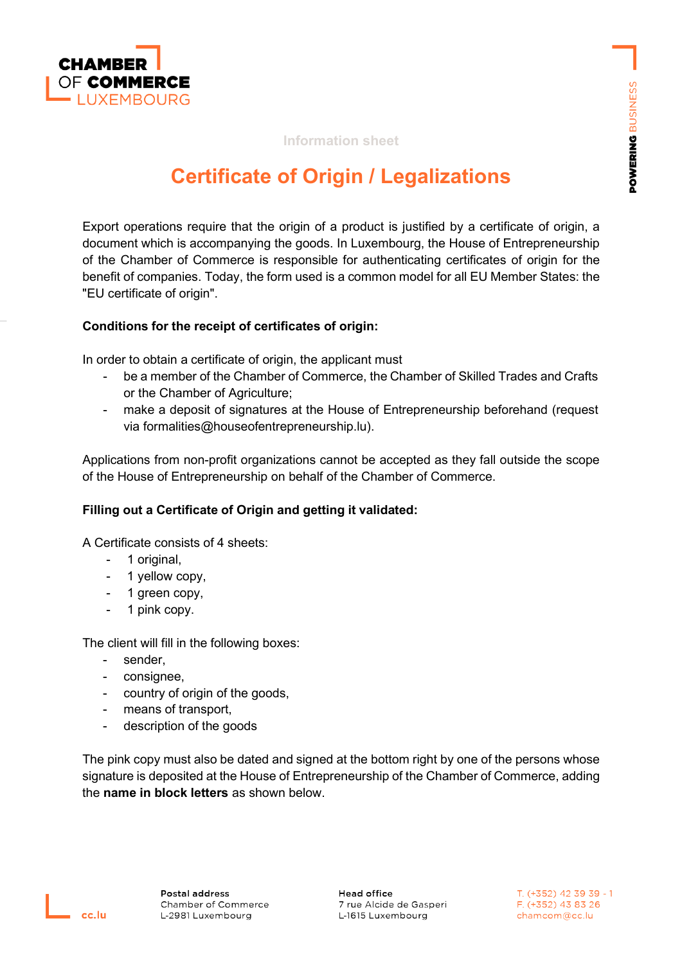

# **Information sheet**

# **Certificate of Origin / Legalizations**

Export operations require that the origin of a product is justified by a certificate of origin, a document which is accompanying the goods. In Luxembourg, the House of Entrepreneurship of the Chamber of Commerce is responsible for authenticating certificates of origin for the benefit of companies. Today, the form used is a common model for all EU Member States: the "EU certificate of origin".

#### **Conditions for the receipt of certificates of origin:**

In order to obtain a certificate of origin, the applicant must

- be a member of the Chamber of Commerce, the Chamber of Skilled Trades and Crafts or the Chamber of Agriculture;
- make a deposit of signatures at the House of Entrepreneurship beforehand (request via formalities@houseofentrepreneurship.lu).

Applications from non-profit organizations cannot be accepted as they fall outside the scope of the House of Entrepreneurship on behalf of the Chamber of Commerce.

# **Filling out a Certificate of Origin and getting it validated:**

A Certificate consists of 4 sheets:

- 1 original,
- 1 yellow copy,
- 1 green copy,
- 1 pink copy.

The client will fill in the following boxes:

- sender,
- consignee,
- country of origin of the goods,
- means of transport,
- description of the goods

The pink copy must also be dated and signed at the bottom right by one of the persons whose signature is deposited at the House of Entrepreneurship of the Chamber of Commerce, adding the **name in block letters** as shown below.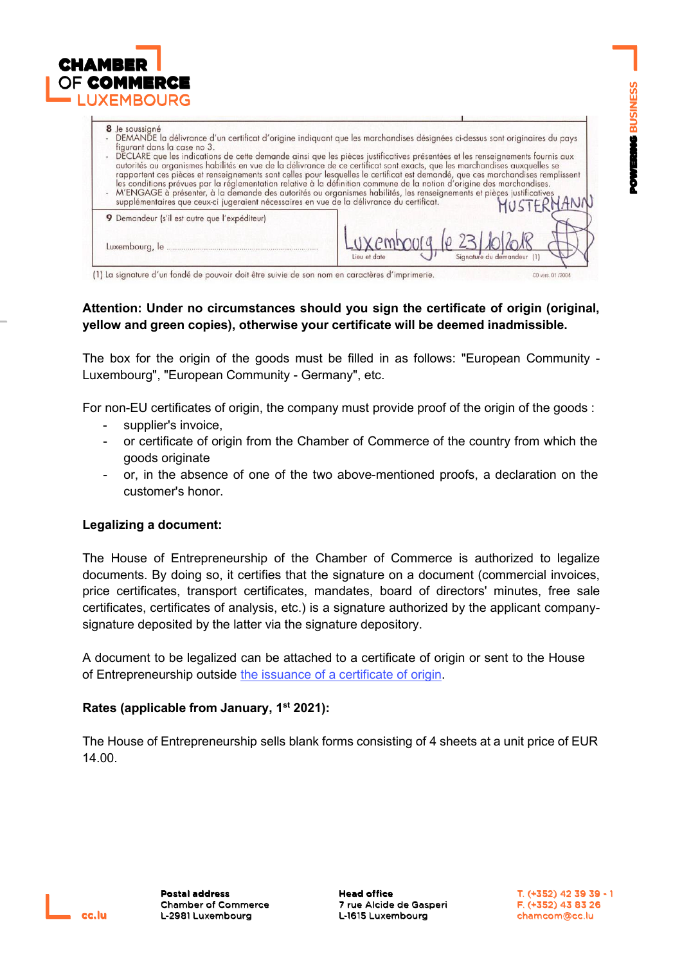

| 8 Je soussigné<br>DEMANDE la délivrance d'un certificat d'origine indiquant que les marchandises désignées ci-dessus sont originaires du pays<br>figurant dans la case no 3.<br>DECLARE que les indications de cette demande ainsi que les pièces justificatives présentées et les renseignements fournis aux<br>autorités ou organismes habilités en vue de la délivrance de ce certificat sont exacts, que les marchandises auxquelles se<br>rapportent ces pièces et renseignements sont celles pour lesquelles le certificat est demandé, que ces marchandises remplissent<br>les conditions prévues par la réglementation relative à la définition commune de la notion d'origine des marchandises.<br>M'ENGAGE à présenter, à la demande des autorités ou organismes habilités, les renseignements et pièces justificatives<br>MUSTFRHANN<br>supplémentaires que ceux-ci jugeraient nécessaires en vue de la délivrance du certificat. |                       |
|----------------------------------------------------------------------------------------------------------------------------------------------------------------------------------------------------------------------------------------------------------------------------------------------------------------------------------------------------------------------------------------------------------------------------------------------------------------------------------------------------------------------------------------------------------------------------------------------------------------------------------------------------------------------------------------------------------------------------------------------------------------------------------------------------------------------------------------------------------------------------------------------------------------------------------------------|-----------------------|
| 9 Demandeur (s'il est autre que l'expéditeur)                                                                                                                                                                                                                                                                                                                                                                                                                                                                                                                                                                                                                                                                                                                                                                                                                                                                                                |                       |
|                                                                                                                                                                                                                                                                                                                                                                                                                                                                                                                                                                                                                                                                                                                                                                                                                                                                                                                                              | $Lux@mbo0@, 0231020@$ |
| 11 La signature d'un fondé de pouvoir doit être suivie de son nom en caractères d'imprimerie                                                                                                                                                                                                                                                                                                                                                                                                                                                                                                                                                                                                                                                                                                                                                                                                                                                 | CO vers 01/2004       |

# **Attention: Under no circumstances should you sign the certificate of origin (original, yellow and green copies), otherwise your certificate will be deemed inadmissible.**

The box for the origin of the goods must be filled in as follows: "European Community - Luxembourg", "European Community - Germany", etc.

For non-EU certificates of origin, the company must provide proof of the origin of the goods :

- supplier's invoice,
- or certificate of origin from the Chamber of Commerce of the country from which the goods originate
- or, in the absence of one of the two above-mentioned proofs, a declaration on the customer's honor.

# **Legalizing a document:**

The House of Entrepreneurship of the Chamber of Commerce is authorized to legalize documents. By doing so, it certifies that the signature on a document (commercial invoices, price certificates, transport certificates, mandates, board of directors' minutes, free sale certificates, certificates of analysis, etc.) is a signature authorized by the applicant companysignature deposited by the latter via the signature depository.

A document to be legalized can be attached to a certificate of origin or sent to the House of Entrepreneurship outside the issuance of a [certificate](https://www.houseofentrepreneurship.lu/fileadmin/user_upload/cc.lu/AB_Electronic_Certificate_of_Orgin_Fiche_Info_ENG.pdf) of origin.

# **Rates (applicable from January, 1st 2021):**

The House of Entrepreneurship sells blank forms consisting of 4 sheets at a unit price of EUR 14.00.